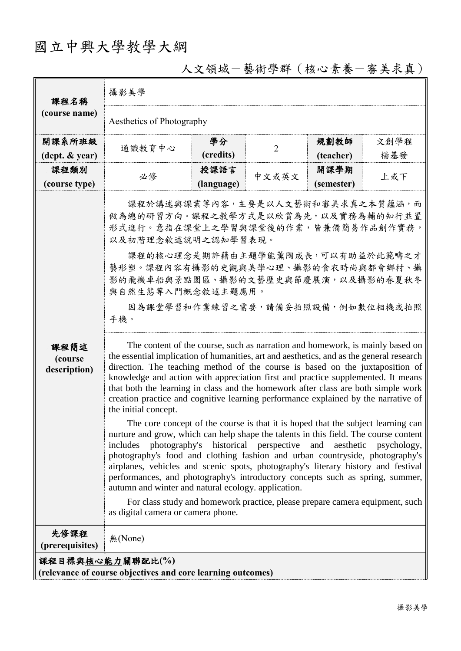## 國立中興大學教學大綱

| 課程名稱<br>(course name)                                                           | 攝影美學                                                                                                                                                                                                                                                                                                                                                                                                                                                                                                                                                                                                                                                                                                                                                                                                                                                                                                                                                                                                                                                                                                                                                                                                                                                                                                                                                                                                                                                                                                                                                                    |            |                |            |      |  |  |
|---------------------------------------------------------------------------------|-------------------------------------------------------------------------------------------------------------------------------------------------------------------------------------------------------------------------------------------------------------------------------------------------------------------------------------------------------------------------------------------------------------------------------------------------------------------------------------------------------------------------------------------------------------------------------------------------------------------------------------------------------------------------------------------------------------------------------------------------------------------------------------------------------------------------------------------------------------------------------------------------------------------------------------------------------------------------------------------------------------------------------------------------------------------------------------------------------------------------------------------------------------------------------------------------------------------------------------------------------------------------------------------------------------------------------------------------------------------------------------------------------------------------------------------------------------------------------------------------------------------------------------------------------------------------|------------|----------------|------------|------|--|--|
|                                                                                 | Aesthetics of Photography                                                                                                                                                                                                                                                                                                                                                                                                                                                                                                                                                                                                                                                                                                                                                                                                                                                                                                                                                                                                                                                                                                                                                                                                                                                                                                                                                                                                                                                                                                                                               |            |                |            |      |  |  |
| 開課系所班級                                                                          | 通識教育中心                                                                                                                                                                                                                                                                                                                                                                                                                                                                                                                                                                                                                                                                                                                                                                                                                                                                                                                                                                                                                                                                                                                                                                                                                                                                                                                                                                                                                                                                                                                                                                  | 學分         | $\overline{2}$ | 規劃教師       | 文創學程 |  |  |
| $(\text{dept.} \& \text{ year})$                                                |                                                                                                                                                                                                                                                                                                                                                                                                                                                                                                                                                                                                                                                                                                                                                                                                                                                                                                                                                                                                                                                                                                                                                                                                                                                                                                                                                                                                                                                                                                                                                                         | (credits)  |                | (teacher)  | 楊基發  |  |  |
| 課程類別                                                                            | 必修                                                                                                                                                                                                                                                                                                                                                                                                                                                                                                                                                                                                                                                                                                                                                                                                                                                                                                                                                                                                                                                                                                                                                                                                                                                                                                                                                                                                                                                                                                                                                                      | 授課語言       | 中文或英文          | 開課學期       | 上或下  |  |  |
| (course type)                                                                   |                                                                                                                                                                                                                                                                                                                                                                                                                                                                                                                                                                                                                                                                                                                                                                                                                                                                                                                                                                                                                                                                                                                                                                                                                                                                                                                                                                                                                                                                                                                                                                         | (language) |                | (semester) |      |  |  |
| 課程簡述<br>(course<br>description)<br>先修課程                                         | 課程於講述與課業等內容,主要是以人文藝術和審美求真之本質蘊涵,而<br>做為總的研習方向。課程之教學方式是以欣賞為先,以及實務為輔的知行並置<br>形式進行。意指在課堂上之學習與課堂後的作業,皆兼備簡易作品創作實務,<br>以及初階理念敘述說明之認知學習表現。<br>課程的核心理念是期許藉由主題學能薰陶成長,可以有助益於此範疇之才<br>藝形塑。課程內容有攝影的史觀與美學心理、攝影的食衣時尚與都會鄉村、攝<br>影的飛機車船與景點園區、攝影的文藝歷史與節慶展演,以及攝影的春夏秋冬<br>與自然生態等入門概念敘述主題應用。<br>因為課堂學習和作業練習之需要,請備妥拍照設備,例如數位相機或拍照<br>手機。<br>The content of the course, such as narration and homework, is mainly based on<br>the essential implication of humanities, art and aesthetics, and as the general research<br>direction. The teaching method of the course is based on the juxtaposition of<br>knowledge and action with appreciation first and practice supplemented. It means<br>that both the learning in class and the homework after class are both simple work<br>creation practice and cognitive learning performance explained by the narrative of<br>the initial concept.<br>The core concept of the course is that it is hoped that the subject learning can<br>nurture and grow, which can help shape the talents in this field. The course content<br>includes photography's historical perspective and<br>aesthetic<br>psychology,<br>photography's food and clothing fashion and urban countryside, photography's<br>airplanes, vehicles and scenic spots, photography's literary history and festival<br>performances, and photography's introductory concepts such as spring, summer,<br>autumn and winter and natural ecology. application.<br>For class study and homework practice, please prepare camera equipment, such<br>as digital camera or camera phone. |            |                |            |      |  |  |
| (prerequisites)                                                                 | 無(None)                                                                                                                                                                                                                                                                                                                                                                                                                                                                                                                                                                                                                                                                                                                                                                                                                                                                                                                                                                                                                                                                                                                                                                                                                                                                                                                                                                                                                                                                                                                                                                 |            |                |            |      |  |  |
| 課程目標與核心能力關聯配比(%)<br>(relevance of course objectives and core learning outcomes) |                                                                                                                                                                                                                                                                                                                                                                                                                                                                                                                                                                                                                                                                                                                                                                                                                                                                                                                                                                                                                                                                                                                                                                                                                                                                                                                                                                                                                                                                                                                                                                         |            |                |            |      |  |  |

## 人文領域-藝術學群(核心素養-審美求真)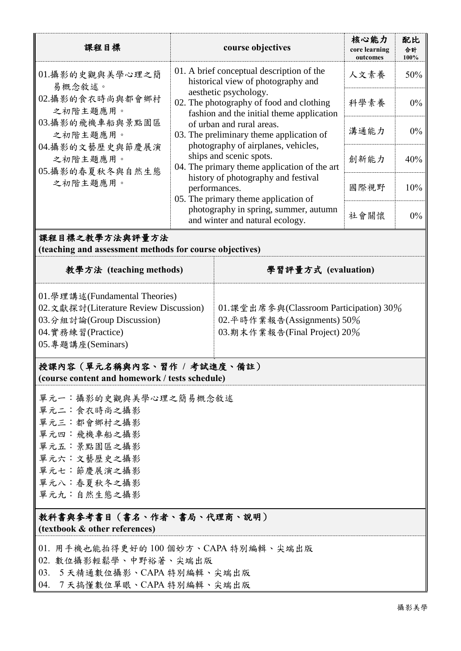| 課程目標                                                                                                                                                                                                                                                                                                                                                                 |                                                                                                                                                                                                                                                                                                                                                                                                                                                                                                                                                                          | course objectives                                                                                      | 核心能力<br>core learning<br>outcomes | 配比<br>合計<br>100% |  |  |  |  |
|----------------------------------------------------------------------------------------------------------------------------------------------------------------------------------------------------------------------------------------------------------------------------------------------------------------------------------------------------------------------|--------------------------------------------------------------------------------------------------------------------------------------------------------------------------------------------------------------------------------------------------------------------------------------------------------------------------------------------------------------------------------------------------------------------------------------------------------------------------------------------------------------------------------------------------------------------------|--------------------------------------------------------------------------------------------------------|-----------------------------------|------------------|--|--|--|--|
| 01.攝影的史觀與美學心理之簡<br>易概念敘述。                                                                                                                                                                                                                                                                                                                                            | 01. A brief conceptual description of the<br>historical view of photography and<br>aesthetic psychology.<br>02. The photography of food and clothing<br>fashion and the initial theme application<br>of urban and rural areas.<br>03. The preliminary theme application of<br>photography of airplanes, vehicles,<br>ships and scenic spots.<br>04. The primary theme application of the art<br>history of photography and festival<br>performances.<br>05. The primary theme application of<br>photography in spring, summer, autumn<br>and winter and natural ecology. |                                                                                                        | 人文素養                              | 50%              |  |  |  |  |
| 02. 攝影的食衣時尚與都會鄉村<br>之初階主題應用。                                                                                                                                                                                                                                                                                                                                         |                                                                                                                                                                                                                                                                                                                                                                                                                                                                                                                                                                          |                                                                                                        | 科學素養                              | $0\%$            |  |  |  |  |
| 03. 攝影的飛機車船與景點園區<br>之初階主題應用。<br>04.攝影的文藝歷史與節慶展演                                                                                                                                                                                                                                                                                                                      |                                                                                                                                                                                                                                                                                                                                                                                                                                                                                                                                                                          |                                                                                                        | 溝通能力                              | $0\%$            |  |  |  |  |
| 之初階主題應用。<br>05.攝影的春夏秋冬與自然生態                                                                                                                                                                                                                                                                                                                                          |                                                                                                                                                                                                                                                                                                                                                                                                                                                                                                                                                                          |                                                                                                        | 創新能力                              | 40%              |  |  |  |  |
| 之初階主題應用。                                                                                                                                                                                                                                                                                                                                                             |                                                                                                                                                                                                                                                                                                                                                                                                                                                                                                                                                                          |                                                                                                        | 國際視野                              | 10%              |  |  |  |  |
|                                                                                                                                                                                                                                                                                                                                                                      |                                                                                                                                                                                                                                                                                                                                                                                                                                                                                                                                                                          |                                                                                                        | 社會關懷                              | $0\%$            |  |  |  |  |
| 課程目標之教學方法與評量方法<br>(teaching and assessment methods for course objectives)                                                                                                                                                                                                                                                                                            |                                                                                                                                                                                                                                                                                                                                                                                                                                                                                                                                                                          |                                                                                                        |                                   |                  |  |  |  |  |
| 教學方法 (teaching methods)                                                                                                                                                                                                                                                                                                                                              |                                                                                                                                                                                                                                                                                                                                                                                                                                                                                                                                                                          | 學習評量方式 (evaluation)                                                                                    |                                   |                  |  |  |  |  |
| 01. 學理講述(Fundamental Theories)<br>02. 文獻探討(Literature Review Discussion)<br>03.分組討論(Group Discussion)<br>04. 實務練習(Practice)<br>05. 專題講座(Seminars)<br>授課內容 (單元名稱與內容、習作 / 考試進度、備註)<br>(course content and homework / tests schedule)<br>單元一:攝影的史觀與美學心理之簡易概念敘述<br>單元二:食衣時尚之攝影<br>單元三:都會鄉村之攝影<br>單元四:飛機車船之攝影<br>單元五:景點園區之攝影<br>單元六:文藝歷史之攝影<br>單元七:節慶展演之攝影<br>單元八:春夏秋冬之攝影 |                                                                                                                                                                                                                                                                                                                                                                                                                                                                                                                                                                          | 01. 課堂出席參與(Classroom Participation) 30%<br>02. 平時作業報告(Assignments) 50%<br>03.期末作業報告(Final Project) 20% |                                   |                  |  |  |  |  |
| 單元九:自然生態之攝影<br>教科書與參考書目(書名、作者、書局、代理商、說明)                                                                                                                                                                                                                                                                                                                             |                                                                                                                                                                                                                                                                                                                                                                                                                                                                                                                                                                          |                                                                                                        |                                   |                  |  |  |  |  |
| (textbook & other references)                                                                                                                                                                                                                                                                                                                                        |                                                                                                                                                                                                                                                                                                                                                                                                                                                                                                                                                                          |                                                                                                        |                                   |                  |  |  |  |  |
| 01. 用手機也能拍得更好的100個妙方、CAPA特別編輯、尖端出版<br>02. 數位攝影輕鬆學、中野裕著、尖端出版<br>03. 5天精通數位攝影、CAPA 特別編輯、尖端出版<br>04. 7天搞懂數位單眼、CAPA特別編輯、尖端出版                                                                                                                                                                                                                                             |                                                                                                                                                                                                                                                                                                                                                                                                                                                                                                                                                                          |                                                                                                        |                                   |                  |  |  |  |  |